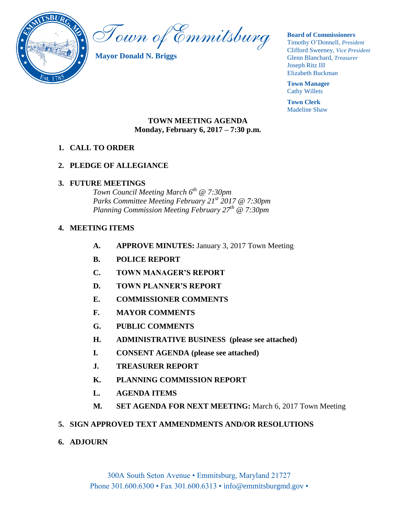

Town of Emmitsburg

**Mayor Donald N. Briggs**

#### **Board of Commissioners**

Timothy O'Donnell, *President*  Clifford Sweeney, *Vice President*  Glenn Blanchard, *Treasurer*  Joseph Ritz III Elizabeth Buckman

**Town Manager** Cathy Willets

**Town Clerk** Madeline Shaw

### **TOWN MEETING AGENDA Monday, February 6, 2017 – 7:30 p.m.**

## **1. CALL TO ORDER**

## **2. PLEDGE OF ALLEGIANCE**

### **3. FUTURE MEETINGS**

*Town Council Meeting March 6th @ 7:30pm Parks Committee Meeting February 21st 2017 @ 7:30pm Planning Commission Meeting February 27th @ 7:30pm*

## **4. MEETING ITEMS**

- **A. APPROVE MINUTES:** January 3, 2017 Town Meeting
- **B. POLICE REPORT**
- **C. TOWN MANAGER'S REPORT**
- **D. TOWN PLANNER'S REPORT**
- **E. COMMISSIONER COMMENTS**
- **F. MAYOR COMMENTS**
- **G. PUBLIC COMMENTS**
- **H. ADMINISTRATIVE BUSINESS (please see attached)**
- **I. CONSENT AGENDA (please see attached)**
- **J. TREASURER REPORT**
- **K. PLANNING COMMISSION REPORT**
- **L. AGENDA ITEMS**
- **M. SET AGENDA FOR NEXT MEETING:** March 6, 2017 Town Meeting

## **5. SIGN APPROVED TEXT AMMENDMENTS AND/OR RESOLUTIONS**

**6. ADJOURN**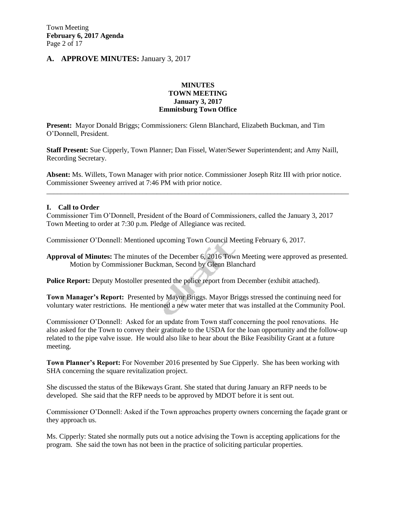### **A. APPROVE MINUTES:** January 3, 2017

#### **MINUTES TOWN MEETING January 3, 2017 Emmitsburg Town Office**

**Present:** Mayor Donald Briggs; Commissioners: Glenn Blanchard, Elizabeth Buckman, and Tim O'Donnell, President.

**Staff Present:** Sue Cipperly, Town Planner; Dan Fissel, Water/Sewer Superintendent; and Amy Naill, Recording Secretary.

**Absent:** Ms. Willets, Town Manager with prior notice. Commissioner Joseph Ritz III with prior notice. Commissioner Sweeney arrived at 7:46 PM with prior notice.

\_\_\_\_\_\_\_\_\_\_\_\_\_\_\_\_\_\_\_\_\_\_\_\_\_\_\_\_\_\_\_\_\_\_\_\_\_\_\_\_\_\_\_\_\_\_\_\_\_\_\_\_\_\_\_\_\_\_\_\_\_\_\_\_\_\_\_\_\_\_\_\_\_\_\_\_\_\_\_\_\_\_\_\_\_

#### **I. Call to Order**

Commissioner Tim O'Donnell, President of the Board of Commissioners, called the January 3, 2017 Town Meeting to order at 7:30 p.m. Pledge of Allegiance was recited.

Commissioner O'Donnell: Mentioned upcoming Town Council Meeting February 6, 2017.

**Approval of Minutes:** The minutes of the December 6, 2016 Town Meeting were approved as presented. Motion by Commissioner Buckman, Second by Glenn Blanchard

**Police Report:** Deputy Mostoller presented the police report from December (exhibit attached).

**Town Manager's Report:** Presented by Mayor Briggs. Mayor Briggs stressed the continuing need for voluntary water restrictions. He mentioned a new water meter that was installed at the Community Pool.

Commissioner O'Donnell: Asked for an update from Town staff concerning the pool renovations. He also asked for the Town to convey their gratitude to the USDA for the loan opportunity and the follow-up related to the pipe valve issue. He would also like to hear about the Bike Feasibility Grant at a future meeting.

**Town Planner's Report:** For November 2016 presented by Sue Cipperly. She has been working with SHA concerning the square revitalization project.

She discussed the status of the Bikeways Grant. She stated that during January an RFP needs to be developed. She said that the RFP needs to be approved by MDOT before it is sent out.

Commissioner O'Donnell: Asked if the Town approaches property owners concerning the façade grant or they approach us.

Ms. Cipperly: Stated she normally puts out a notice advising the Town is accepting applications for the program. She said the town has not been in the practice of soliciting particular properties.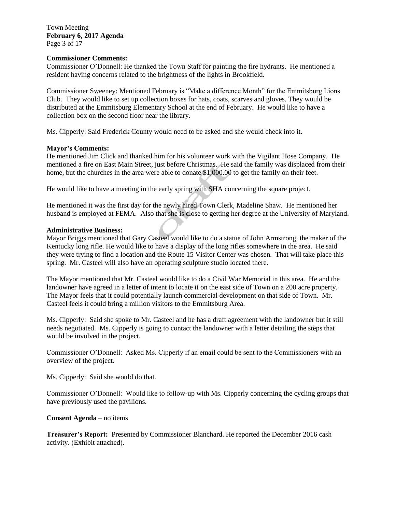Town Meeting **February 6, 2017 Agenda**  Page 3 of 17

#### **Commissioner Comments:**

Commissioner O'Donnell: He thanked the Town Staff for painting the fire hydrants. He mentioned a resident having concerns related to the brightness of the lights in Brookfield.

Commissioner Sweeney: Mentioned February is "Make a difference Month" for the Emmitsburg Lions Club. They would like to set up collection boxes for hats, coats, scarves and gloves. They would be distributed at the Emmitsburg Elementary School at the end of February. He would like to have a collection box on the second floor near the library.

Ms. Cipperly: Said Frederick County would need to be asked and she would check into it.

#### **Mayor's Comments:**

He mentioned Jim Click and thanked him for his volunteer work with the Vigilant Hose Company. He mentioned a fire on East Main Street, just before Christmas. He said the family was displaced from their home, but the churches in the area were able to donate \$1,000.00 to get the family on their feet.

He would like to have a meeting in the early spring with SHA concerning the square project.

He mentioned it was the first day for the newly hired Town Clerk, Madeline Shaw. He mentioned her husband is employed at FEMA. Also that she is close to getting her degree at the University of Maryland.

#### **Administrative Business:**

Mayor Briggs mentioned that Gary Casteel would like to do a statue of John Armstrong, the maker of the Kentucky long rifle. He would like to have a display of the long rifles somewhere in the area. He said they were trying to find a location and the Route 15 Visitor Center was chosen. That will take place this spring. Mr. Casteel will also have an operating sculpture studio located there.

The Mayor mentioned that Mr. Casteel would like to do a Civil War Memorial in this area. He and the landowner have agreed in a letter of intent to locate it on the east side of Town on a 200 acre property. The Mayor feels that it could potentially launch commercial development on that side of Town. Mr. Casteel feels it could bring a million visitors to the Emmitsburg Area.

Ms. Cipperly: Said she spoke to Mr. Casteel and he has a draft agreement with the landowner but it still needs negotiated. Ms. Cipperly is going to contact the landowner with a letter detailing the steps that would be involved in the project.

Commissioner O'Donnell: Asked Ms. Cipperly if an email could be sent to the Commissioners with an overview of the project.

Ms. Cipperly: Said she would do that.

Commissioner O'Donnell: Would like to follow-up with Ms. Cipperly concerning the cycling groups that have previously used the pavilions.

#### **Consent Agenda** – no items

**Treasurer's Report:** Presented by Commissioner Blanchard. He reported the December 2016 cash activity. (Exhibit attached).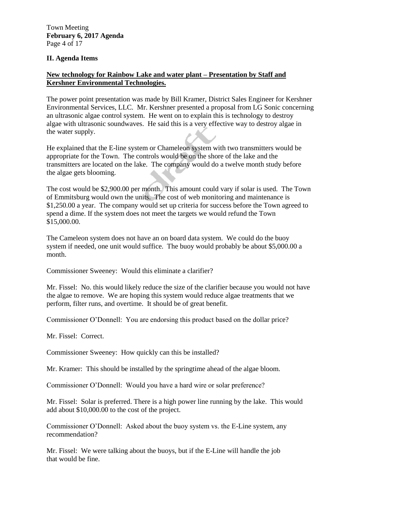#### **II. Agenda Items**

### **New technology for Rainbow Lake and water plant – Presentation by Staff and Kershner Environmental Technologies.**

The power point presentation was made by Bill Kramer, District Sales Engineer for Kershner Environmental Services, LLC. Mr. Kershner presented a proposal from LG Sonic concerning an ultrasonic algae control system. He went on to explain this is technology to destroy algae with ultrasonic soundwaves. He said this is a very effective way to destroy algae in the water supply.

He explained that the E-line system or Chameleon system with two transmitters would be appropriate for the Town. The controls would be on the shore of the lake and the transmitters are located on the lake. The company would do a twelve month study before the algae gets blooming.

The cost would be \$2,900.00 per month. This amount could vary if solar is used. The Town of Emmitsburg would own the units. The cost of web monitoring and maintenance is \$1,250.00 a year. The company would set up criteria for success before the Town agreed to spend a dime. If the system does not meet the targets we would refund the Town \$15,000.00.

The Cameleon system does not have an on board data system. We could do the buoy system if needed, one unit would suffice. The buoy would probably be about \$5,000.00 a month.

Commissioner Sweeney: Would this eliminate a clarifier?

Mr. Fissel: No. this would likely reduce the size of the clarifier because you would not have the algae to remove. We are hoping this system would reduce algae treatments that we perform, filter runs, and overtime. It should be of great benefit.

Commissioner O'Donnell: You are endorsing this product based on the dollar price?

Mr. Fissel: Correct.

Commissioner Sweeney: How quickly can this be installed?

Mr. Kramer: This should be installed by the springtime ahead of the algae bloom.

Commissioner O'Donnell: Would you have a hard wire or solar preference?

Mr. Fissel: Solar is preferred. There is a high power line running by the lake. This would add about \$10,000.00 to the cost of the project.

Commissioner O'Donnell: Asked about the buoy system vs. the E-Line system, any recommendation?

Mr. Fissel: We were talking about the buoys, but if the E-Line will handle the job that would be fine.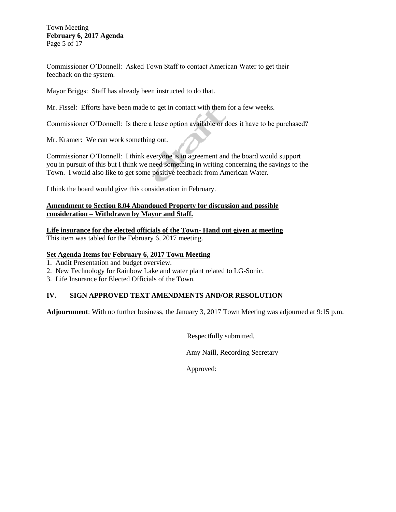#### Town Meeting **February 6, 2017 Agenda**  Page 5 of 17

Commissioner O'Donnell: Asked Town Staff to contact American Water to get their feedback on the system.

Mayor Briggs: Staff has already been instructed to do that.

Mr. Fissel: Efforts have been made to get in contact with them for a few weeks.

Commissioner O'Donnell: Is there a lease option available or does it have to be purchased?

Mr. Kramer: We can work something out.

Commissioner O'Donnell: I think everyone is in agreement and the board would support you in pursuit of this but I think we need something in writing concerning the savings to the Town. I would also like to get some positive feedback from American Water.

I think the board would give this consideration in February.

### **Amendment to Section 8.04 Abandoned Property for discussion and possible consideration – Withdrawn by Mayor and Staff.**

**Life insurance for the elected officials of the Town- Hand out given at meeting** This item was tabled for the February 6, 2017 meeting.

### **Set Agenda Items for February 6, 2017 Town Meeting**

- 1.Audit Presentation and budget overview.
- 2. New Technology for Rainbow Lake and water plant related to LG-Sonic.
- 3. Life Insurance for Elected Officials of the Town.

### **IV. SIGN APPROVED TEXT AMENDMENTS AND/OR RESOLUTION**

**Adjournment**: With no further business, the January 3, 2017 Town Meeting was adjourned at 9:15 p.m.

Respectfully submitted,

Amy Naill, Recording Secretary

Approved: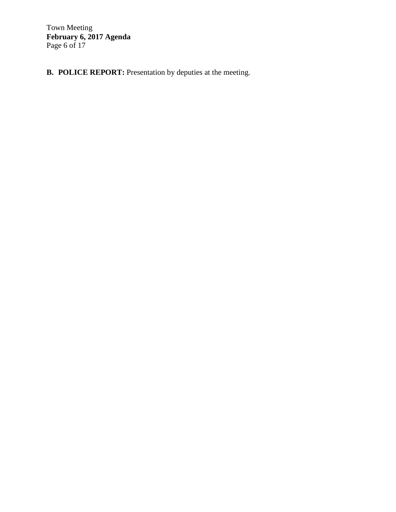Town Meeting **February 6, 2017 Agenda**  Page 6 of 17

**B. POLICE REPORT:** Presentation by deputies at the meeting.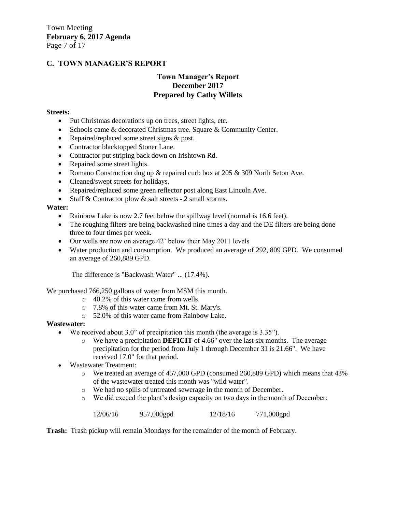## **C. TOWN MANAGER'S REPORT**

### **Town Manager's Report December 2017 Prepared by Cathy Willets**

#### **Streets:**

- Put Christmas decorations up on trees, street lights, etc.
- Schools came & decorated Christmas tree. Square & Community Center.
- Repaired/replaced some street signs & post.
- Contractor blacktopped Stoner Lane.
- Contractor put striping back down on Irishtown Rd.
- Repaired some street lights.
- Romano Construction dug up  $\&$  repaired curb box at 205  $\&$  309 North Seton Ave.
- Cleaned/swept streets for holidays.
- Repaired/replaced some green reflector post along East Lincoln Ave.
- Staff & Contractor plow & salt streets 2 small storms.

#### **Water:**

- Rainbow Lake is now 2.7 feet below the spillway level (normal is 16.6 feet).
- The roughing filters are being backwashed nine times a day and the DE filters are being done three to four times per week.
- Our wells are now on average 42' below their May 2011 levels
- Water production and consumption. We produced an average of 292, 809 GPD. We consumed an average of 260,889 GPD.

The difference is "Backwash Water" ... (17.4%).

We purchased 766,250 gallons of water from MSM this month.

- o 40.2% of this water came from wells.
- o 7.8% of this water came from Mt. St. Mary's.
- o 52.0% of this water came from Rainbow Lake.

#### **Wastewater:**

- We received about 3.0" of precipitation this month (the average is 3.35").
	- o We have a precipitation **DEFICIT** of 4.66" over the last six months. The average precipitation for the period from July 1 through December 31 is 21.66". We have received 17.0" for that period.
- Wastewater Treatment:
	- o We treated an average of 457,000 GPD (consumed 260,889 GPD) which means that 43% of the wastewater treated this month was "wild water".
	- o We had no spills of untreated sewerage in the month of December.
	- o We did exceed the plant's design capacity on two days in the month of December:

12/06/16 957,000gpd 12/18/16 771,000gpd

**Trash:** Trash pickup will remain Mondays for the remainder of the month of February.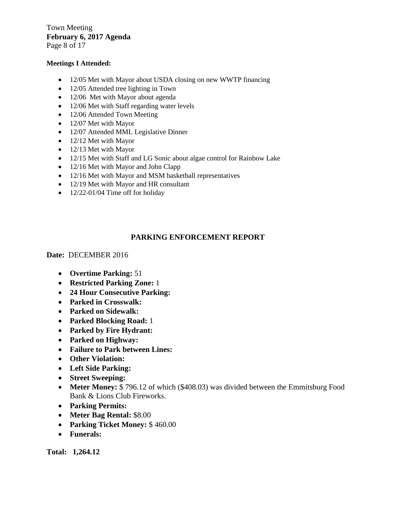Town Meeting **February 6, 2017 Agenda** 

Page 8 of 17

#### **Meetings I Attended:**

- 12/05 Met with Mayor about USDA closing on new WWTP financing
- 12/05 Attended tree lighting in Town
- 12/06 Met with Mayor about agenda
- 12/06 Met with Staff regarding water levels
- 12/06 Attended Town Meeting
- 12/07 Met with Mayor
- 12/07 Attended MML Legislative Dinner
- 12/12 Met with Mayor
- 12/13 Met with Mayor
- 12/15 Met with Staff and LG Sonic about algae control for Rainbow Lake
- 12/16 Met with Mayor and John Clapp
- 12/16 Met with Mayor and MSM basketball representatives
- 12/19 Met with Mayor and HR consultant
- $\bullet$  12/22-01/04 Time off for holiday

### **PARKING ENFORCEMENT REPORT**

**Date:** DECEMBER 2016

- **Overtime Parking:** 51
- **Restricted Parking Zone:** 1
- **24 Hour Consecutive Parking:**
- **Parked in Crosswalk:**
- **Parked on Sidewalk:**
- **Parked Blocking Road:** 1
- **Parked by Fire Hydrant:**
- **Parked on Highway:**
- **Failure to Park between Lines:**
- **Other Violation:**
- **Left Side Parking:**
- **Street Sweeping:**
- Meter Money: \$796.12 of which (\$408.03) was divided between the Emmitsburg Food Bank & Lions Club Fireworks.
- **Parking Permits:**
- **Meter Bag Rental:** \$8.00
- **Parking Ticket Money:** \$ 460.00
- **Funerals:**

**Total: 1,264.12**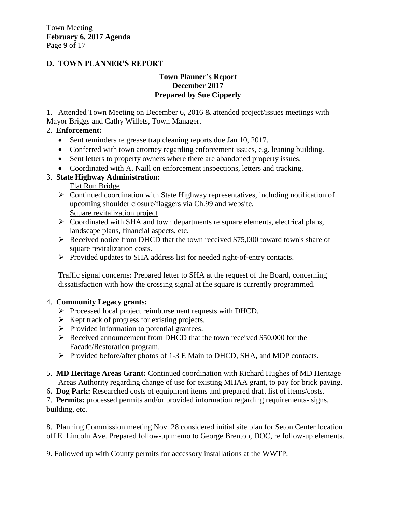# **D. TOWN PLANNER'S REPORT**

### **Town Planner's Report December 2017 Prepared by Sue Cipperly**

1. Attended Town Meeting on December 6, 2016 & attended project/issues meetings with Mayor Briggs and Cathy Willets, Town Manager.

# 2. **Enforcement:**

- Sent reminders re grease trap cleaning reports due Jan 10, 2017.
- Conferred with town attorney regarding enforcement issues, e.g. leaning building.
- Sent letters to property owners where there are abandoned property issues.
- Coordinated with A. Naill on enforcement inspections, letters and tracking.

# 3. **State Highway Administration:**

Flat Run Bridge

- Continued coordination with State Highway representatives, including notification of upcoming shoulder closure/flaggers via Ch.99 and website. Square revitalization project
- $\triangleright$  Coordinated with SHA and town departments re square elements, electrical plans, landscape plans, financial aspects, etc.
- $\triangleright$  Received notice from DHCD that the town received \$75,000 toward town's share of square revitalization costs.
- Provided updates to SHA address list for needed right-of-entry contacts.

Traffic signal concerns: Prepared letter to SHA at the request of the Board, concerning dissatisfaction with how the crossing signal at the square is currently programmed.

## 4. **Community Legacy grants:**

- Processed local project reimbursement requests with DHCD.
- $\triangleright$  Kept track of progress for existing projects.
- $\triangleright$  Provided information to potential grantees.
- Received announcement from DHCD that the town received \$50,000 for the Facade/Restoration program.
- Provided before/after photos of 1-3 E Main to DHCD, SHA, and MDP contacts.
- 5. **MD Heritage Areas Grant:** Continued coordination with Richard Hughes of MD Heritage Areas Authority regarding change of use for existing MHAA grant, to pay for brick paving.
- 6**. Dog Park:** Researched costs of equipment items and prepared draft list of items/costs.

7. **Permits:** processed permits and/or provided information regarding requirements- signs, building, etc.

8. Planning Commission meeting Nov. 28 considered initial site plan for Seton Center location off E. Lincoln Ave. Prepared follow-up memo to George Brenton, DOC, re follow-up elements.

9. Followed up with County permits for accessory installations at the WWTP.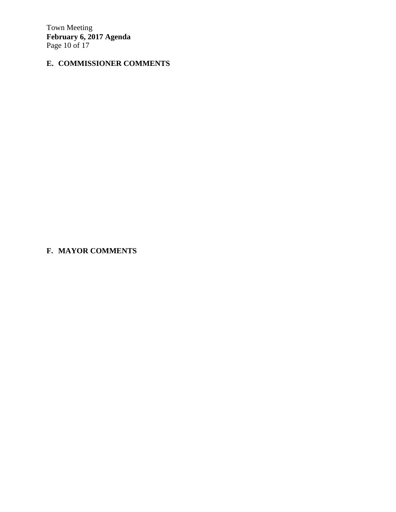Town Meeting **February 6, 2017 Agenda**  Page 10 of 17

# **E. COMMISSIONER COMMENTS**

**F. MAYOR COMMENTS**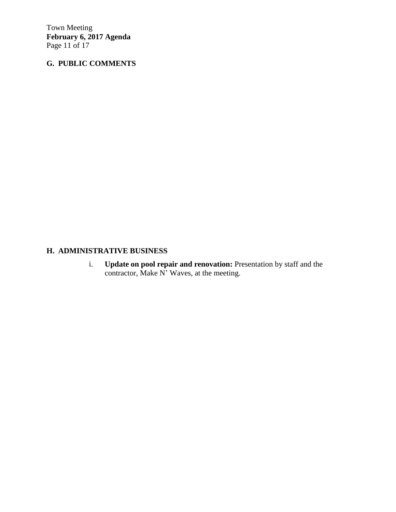Town Meeting **February 6, 2017 Agenda**  Page 11 of 17

# **G. PUBLIC COMMENTS**

# **H. ADMINISTRATIVE BUSINESS**

i. **Update on pool repair and renovation:** Presentation by staff and the contractor, Make N' Waves, at the meeting.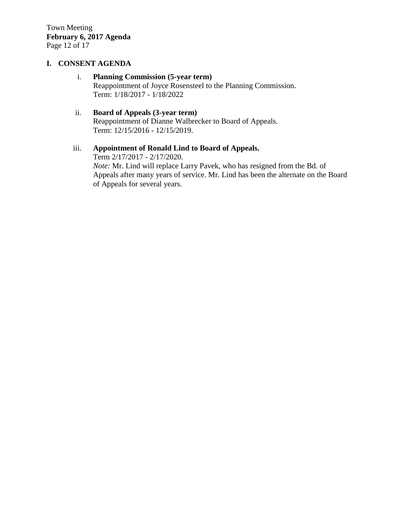# **I. CONSENT AGENDA**

### i. **Planning Commission (5-year term)**

Reappointment of Joyce Rosensteel to the Planning Commission. Term: 1/18/2017 - 1/18/2022

# ii. **Board of Appeals (3-year term)**

Reappointment of Dianne Walbrecker to Board of Appeals. Term: 12/15/2016 - 12/15/2019.

# iii. **Appointment of Ronald Lind to Board of Appeals.**

Term 2/17/2017 - 2/17/2020. *Note:* Mr. Lind will replace Larry Pavek, who has resigned from the Bd. of Appeals after many years of service. Mr. Lind has been the alternate on the Board of Appeals for several years.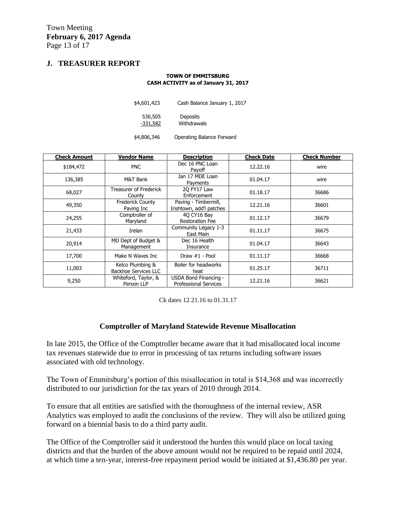### **J. TREASURER REPORT**

#### **TOWN OF EMMITSBURG CASH ACTIVITY as of January 31, 2017**

| \$4,601,423           | Cash Balance January 1, 2017 |  |  |
|-----------------------|------------------------------|--|--|
| 536,505<br>$-331,582$ | Deposits<br>Withdrawals      |  |  |
| \$4,806,346           | Operating Balance Forward    |  |  |

| <b>Check Amount</b> | <b>Vendor Name</b>                              | <b>Description</b>                                    | <b>Check Date</b> | <b>Check Number</b> |
|---------------------|-------------------------------------------------|-------------------------------------------------------|-------------------|---------------------|
| \$184,472           | <b>PNC</b>                                      | Dec 16 PNC Loan<br>Payoff                             | 12.22.16          | wire                |
| 136,385             | M&T Bank                                        | Jan 17 MDE Loan<br>Payments                           | 01.04.17          | wire                |
| 68,027              | Treasurer of Frederick<br>County                | 20 FY17 Law<br>Enforcement                            | 01.18.17          | 36686               |
| 49,350              | <b>Frederick County</b><br>Paving Inc           | Paving - Timbermill,<br>Irishtown, add'l patches      | 12.21.16          | 36601               |
| 24,255              | Comptroller of<br>Maryland                      | 40 CY16 Bay<br><b>Restoration Fee</b>                 | 01.12.17          | 36679               |
| 21,433              | Irelan                                          | Community Legacy 1-3<br>East Main                     | 01.11.17          | 36675               |
| 20,914              | MD Dept of Budget &<br>Management               | Dec 16 Health<br>Insurance                            | 01.04.17          | 36643               |
| 17,700              | Make N Waves Inc                                | Draw $#1$ - Pool                                      | 01.11.17          | 36668               |
| 11,003              | Kelco Plumbing &<br><b>Backhoe Services LLC</b> | Boiler for headworks<br>heat                          | 01.25.17          | 36711               |
| 9,250               | Whiteford, Taylor, &<br>Person LLP              | USDA Bond Financing -<br><b>Professional Services</b> | 12.21.16          | 36621               |

Ck dates 12.21.16 to 01.31.17

### **Comptroller of Maryland Statewide Revenue Misallocation**

In late 2015, the Office of the Comptroller became aware that it had misallocated local income tax revenues statewide due to error in processing of tax returns including software issues associated with old technology.

The Town of Emmitsburg's portion of this misallocation in total is \$14,368 and was incorrectly distributed to our jurisdiction for the tax years of 2010 through 2014.

To ensure that all entities are satisfied with the thoroughness of the internal review, ASR Analytics was employed to audit the conclusions of the review. They will also be utilized going forward on a biennial basis to do a third party audit.

The Office of the Comptroller said it understood the burden this would place on local taxing districts and that the burden of the above amount would not be required to be repaid until 2024, at which time a ten-year, interest-free repayment period would be initiated at \$1,436.80 per year.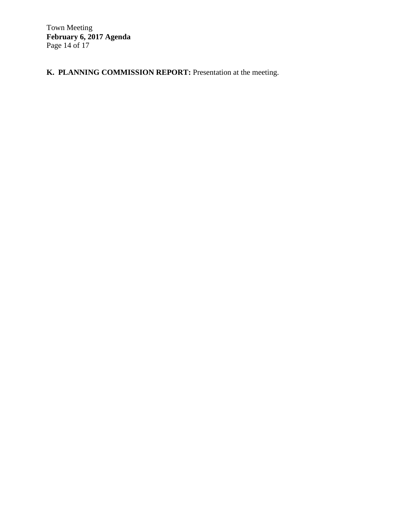Town Meeting **February 6, 2017 Agenda**  Page 14 of 17

**K. PLANNING COMMISSION REPORT:** Presentation at the meeting.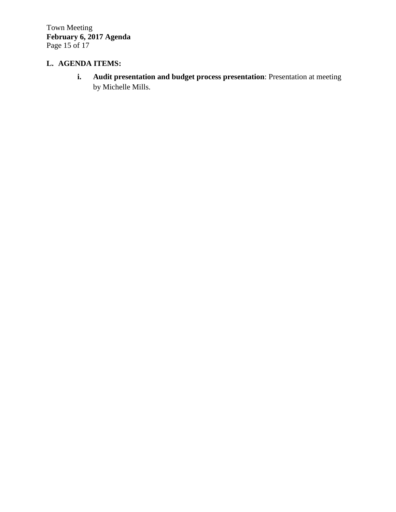Town Meeting **February 6, 2017 Agenda**  Page 15 of 17

# **L. AGENDA ITEMS:**

**i. Audit presentation and budget process presentation**: Presentation at meeting by Michelle Mills.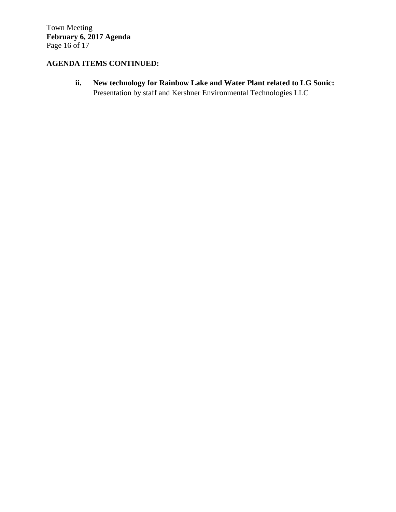Town Meeting **February 6, 2017 Agenda**  Page 16 of 17

# **AGENDA ITEMS CONTINUED:**

**ii. New technology for Rainbow Lake and Water Plant related to LG Sonic:**  Presentation by staff and Kershner Environmental Technologies LLC